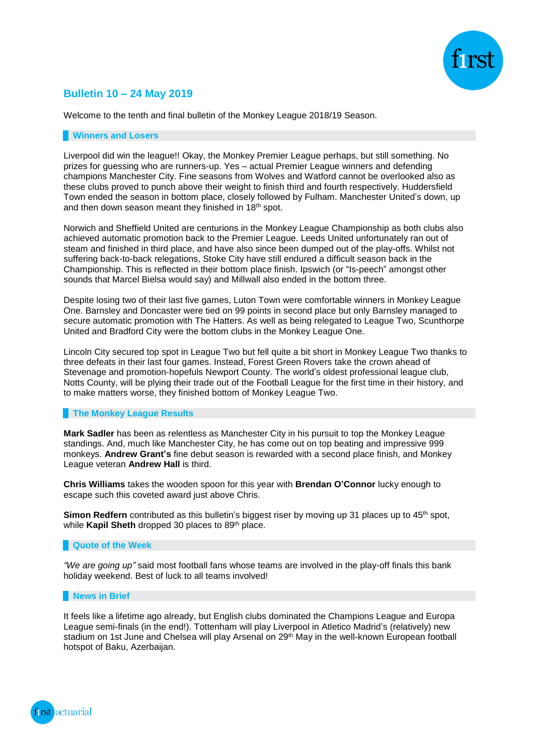

# **Bulletin 10 – 24 May 2019**

Welcome to the tenth and final bulletin of the Monkey League 2018/19 Season.

### **Winners and Losers**

Liverpool did win the league!! Okay, the Monkey Premier League perhaps, but still something. No prizes for guessing who are runners-up. Yes – actual Premier League winners and defending champions Manchester City. Fine seasons from Wolves and Watford cannot be overlooked also as these clubs proved to punch above their weight to finish third and fourth respectively. Huddersfield Town ended the season in bottom place, closely followed by Fulham. Manchester United's down, up and then down season meant they finished in 18<sup>th</sup> spot.

Norwich and Sheffield United are centurions in the Monkey League Championship as both clubs also achieved automatic promotion back to the Premier League. Leeds United unfortunately ran out of steam and finished in third place, and have also since been dumped out of the play-offs. Whilst not suffering back-to-back relegations, Stoke City have still endured a difficult season back in the Championship. This is reflected in their bottom place finish. Ipswich (or "Is-peech" amongst other sounds that Marcel Bielsa would say) and Millwall also ended in the bottom three.

Despite losing two of their last five games, Luton Town were comfortable winners in Monkey League One. Barnsley and Doncaster were tied on 99 points in second place but only Barnsley managed to secure automatic promotion with The Hatters. As well as being relegated to League Two, Scunthorpe United and Bradford City were the bottom clubs in the Monkey League One.

Lincoln City secured top spot in League Two but fell quite a bit short in Monkey League Two thanks to three defeats in their last four games. Instead, Forest Green Rovers take the crown ahead of Stevenage and promotion-hopefuls Newport County. The world's oldest professional league club, Notts County, will be plying their trade out of the Football League for the first time in their history, and to make matters worse, they finished bottom of Monkey League Two.

# **The Monkey League Results**

**Mark Sadler** has been as relentless as Manchester City in his pursuit to top the Monkey League standings. And, much like Manchester City, he has come out on top beating and impressive 999 monkeys. **Andrew Grant's** fine debut season is rewarded with a second place finish, and Monkey League veteran **Andrew Hall** is third.

**Chris Williams** takes the wooden spoon for this year with **Brendan O'Connor** lucky enough to escape such this coveted award just above Chris.

**Simon Redfern** contributed as this bulletin's biggest riser by moving up 31 places up to 45<sup>th</sup> spot, while **Kapil Sheth** dropped 30 places to 89<sup>th</sup> place.

# **Quote of the Week**

*"We are going up"* said most football fans whose teams are involved in the play-off finals this bank holiday weekend. Best of luck to all teams involved!

#### **News in Brief**

It feels like a lifetime ago already, but English clubs dominated the Champions League and Europa League semi-finals (in the end!). Tottenham will play Liverpool in Atletico Madrid's (relatively) new stadium on 1st June and Chelsea will play Arsenal on 29<sup>th</sup> May in the well-known European football hotspot of Baku, Azerbaijan.

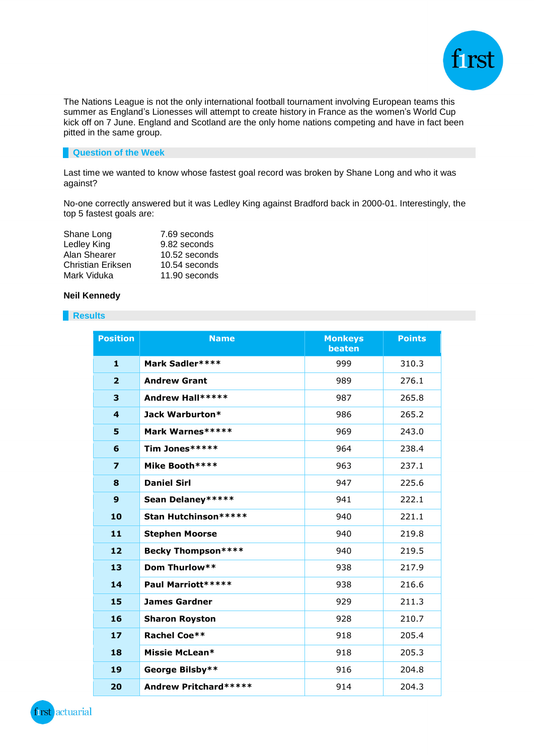

The Nations League is not the only international football tournament involving European teams this summer as England's Lionesses will attempt to create history in France as the women's World Cup kick off on 7 June. England and Scotland are the only home nations competing and have in fact been pitted in the same group.

# **Question of the Week**

Last time we wanted to know whose fastest goal record was broken by Shane Long and who it was against?

No-one correctly answered but it was Ledley King against Bradford back in 2000-01. Interestingly, the top 5 fastest goals are:

| Shane Long        | 7.69 seconds  |
|-------------------|---------------|
| Ledley King       | 9.82 seconds  |
| Alan Shearer      | 10.52 seconds |
| Christian Eriksen | 10.54 seconds |
| Mark Viduka       | 11.90 seconds |

# **Neil Kennedy**

## **Results**

| <b>Position</b>         | <b>Name</b>                  | <b>Monkeys</b><br>beaten | <b>Points</b> |
|-------------------------|------------------------------|--------------------------|---------------|
| $\mathbf{1}$            | Mark Sadler****              | 999                      | 310.3         |
| $\overline{2}$          | <b>Andrew Grant</b>          | 989                      | 276.1         |
| 3                       | Andrew Hall*****             | 987                      | 265.8         |
| $\overline{\mathbf{4}}$ | Jack Warburton*              | 986                      | 265.2         |
| 5                       | Mark Warnes*****             | 969                      | 243.0         |
| 6                       | Tim Jones*****               | 964                      | 238.4         |
| $\overline{z}$          | Mike Booth ****              | 963                      | 237.1         |
| 8                       | <b>Daniel Sirl</b>           | 947                      | 225.6         |
| 9                       | Sean Delaney *****           | 941                      | 222.1         |
| 10                      | Stan Hutchinson*****         | 940                      | 221.1         |
| 11                      | <b>Stephen Moorse</b>        | 940                      | 219.8         |
| 12                      | <b>Becky Thompson****</b>    | 940                      | 219.5         |
| 13                      | Dom Thurlow**                | 938                      | 217.9         |
| 14                      | Paul Marriott*****           | 938                      | 216.6         |
| 15                      | <b>James Gardner</b>         | 929                      | 211.3         |
| 16                      | <b>Sharon Royston</b>        | 928                      | 210.7         |
| 17                      | <b>Rachel Coe**</b>          | 918                      | 205.4         |
| 18                      | Missie McLean*               | 918                      | 205.3         |
| 19                      | George Bilsby**              | 916                      | 204.8         |
| 20                      | <b>Andrew Pritchard*****</b> | 914                      | 204.3         |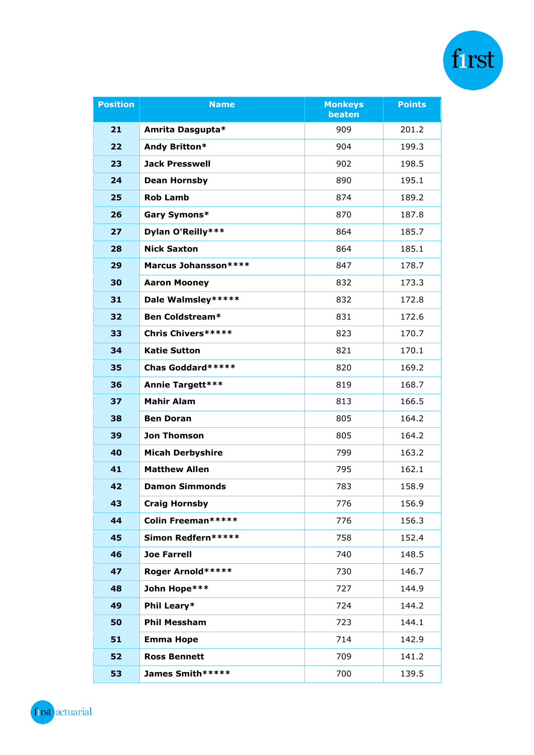| <b>Position</b> | <b>Name</b>               | <b>Monkeys</b><br>beaten | <b>Points</b> |
|-----------------|---------------------------|--------------------------|---------------|
| 21              | Amrita Dasgupta*          | 909                      | 201.2         |
| 22              | Andy Britton*             | 904                      | 199.3         |
| 23              | <b>Jack Presswell</b>     | 902                      | 198.5         |
| 24              | <b>Dean Hornsby</b>       | 890                      | 195.1         |
| 25              | <b>Rob Lamb</b>           | 874                      | 189.2         |
| 26              | Gary Symons*              | 870                      | 187.8         |
| 27              | Dylan O'Reilly***         | 864                      | 185.7         |
| 28              | <b>Nick Saxton</b>        | 864                      | 185.1         |
| 29              | Marcus Johansson****      | 847                      | 178.7         |
| 30              | <b>Aaron Mooney</b>       | 832                      | 173.3         |
| 31              | Dale Walmsley*****        | 832                      | 172.8         |
| 32              | Ben Coldstream*           | 831                      | 172.6         |
| 33              | <b>Chris Chivers*****</b> | 823                      | 170.7         |
| 34              | <b>Katie Sutton</b>       | 821                      | 170.1         |
| 35              | Chas Goddard*****         | 820                      | 169.2         |
| 36              | <b>Annie Targett***</b>   | 819                      | 168.7         |
| 37              | <b>Mahir Alam</b>         | 813                      | 166.5         |
| 38              | <b>Ben Doran</b>          | 805                      | 164.2         |
| 39              | <b>Jon Thomson</b>        | 805                      | 164.2         |
| 40              | <b>Micah Derbyshire</b>   | 799                      | 163.2         |
| 41              | <b>Matthew Allen</b>      | 795                      | 162.1         |
| 42              | <b>Damon Simmonds</b>     | 783                      | 158.9         |
| 43              | <b>Craig Hornsby</b>      | 776                      | 156.9         |
| 44              | Colin Freeman*****        | 776                      | 156.3         |
| 45              | Simon Redfern*****        | 758                      | 152.4         |
| 46              | <b>Joe Farrell</b>        | 740                      | 148.5         |
| 47              | Roger Arnold*****         | 730                      | 146.7         |
| 48              | John Hope***              | 727                      | 144.9         |
| 49              | Phil Leary*               | 724                      | 144.2         |
| 50              | <b>Phil Messham</b>       | 723                      | 144.1         |
| 51              | <b>Emma Hope</b>          | 714                      | 142.9         |
| 52              | <b>Ross Bennett</b>       | 709                      | 141.2         |
| 53              | James Smith*****          | 700                      | 139.5         |

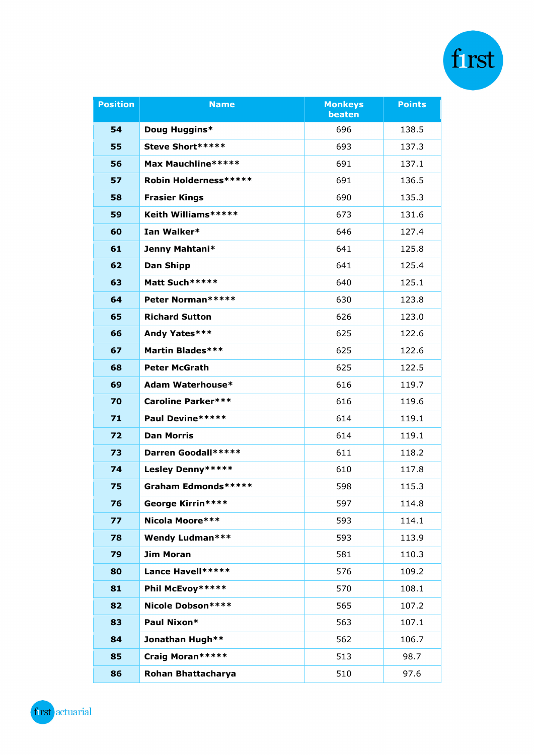| <b>Position</b> | <b>Name</b>               | <b>Monkeys</b><br>beaten | <b>Points</b> |
|-----------------|---------------------------|--------------------------|---------------|
| 54              | Doug Huggins*             | 696                      | 138.5         |
| 55              | Steve Short*****          | 693                      | 137.3         |
| 56              | Max Mauchline*****        | 691                      | 137.1         |
| 57              | Robin Holderness*****     | 691                      | 136.5         |
| 58              | <b>Frasier Kings</b>      | 690                      | 135.3         |
| 59              | Keith Williams*****       | 673                      | 131.6         |
| 60              | Ian Walker*               | 646                      | 127.4         |
| 61              | Jenny Mahtani*            | 641                      | 125.8         |
| 62              | <b>Dan Shipp</b>          | 641                      | 125.4         |
| 63              | Matt Such *****           | 640                      | 125.1         |
| 64              | Peter Norman*****         | 630                      | 123.8         |
| 65              | <b>Richard Sutton</b>     | 626                      | 123.0         |
| 66              | Andy Yates***             | 625                      | 122.6         |
| 67              | <b>Martin Blades***</b>   | 625                      | 122.6         |
| 68              | <b>Peter McGrath</b>      | 625                      | 122.5         |
| 69              | Adam Waterhouse*          | 616                      | 119.7         |
| 70              | <b>Caroline Parker***</b> | 616                      | 119.6         |
| 71              | Paul Devine*****          | 614                      | 119.1         |
| 72              | <b>Dan Morris</b>         | 614                      | 119.1         |
| 73              | Darren Goodall*****       | 611                      | 118.2         |
| 74              | Lesley Denny*****         | 610                      | 117.8         |
| 75              | Graham Edmonds*****       | 598                      | 115.3         |
| 76              | George Kirrin****         | 597                      | 114.8         |
| 77              | Nicola Moore***           | 593                      | 114.1         |
| 78              | <b>Wendy Ludman***</b>    | 593                      | 113.9         |
| 79              | <b>Jim Moran</b>          | 581                      | 110.3         |
| 80              | Lance Havell*****         | 576                      | 109.2         |
| 81              | Phil McEvoy*****          | 570                      | 108.1         |
| 82              | Nicole Dobson****         | 565                      | 107.2         |
| 83              | Paul Nixon*               | 563                      | 107.1         |
| 84              | Jonathan Hugh**           | 562                      | 106.7         |
| 85              | Craig Moran*****          | 513                      | 98.7          |
| 86              | Rohan Bhattacharya        | 510                      | 97.6          |

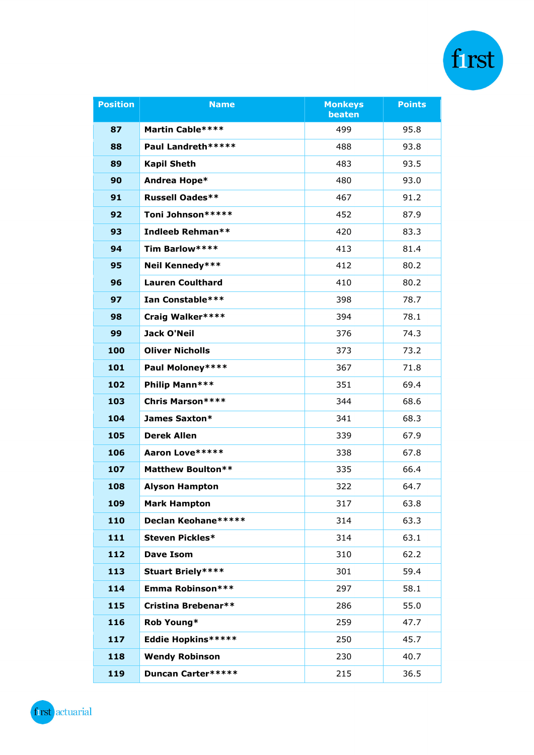| <b>Position</b> | <b>Name</b>              | <b>Monkeys</b><br>beaten | <b>Points</b> |
|-----------------|--------------------------|--------------------------|---------------|
| 87              | Martin Cable****         | 499                      | 95.8          |
| 88              | Paul Landreth *****      | 488                      | 93.8          |
| 89              | <b>Kapil Sheth</b>       | 483                      | 93.5          |
| 90              | Andrea Hope*             | 480                      | 93.0          |
| 91              | <b>Russell Oades**</b>   | 467                      | 91.2          |
| 92              | Toni Johnson*****        | 452                      | 87.9          |
| 93              | Indleeb Rehman**         | 420                      | 83.3          |
| 94              | Tim Barlow****           | 413                      | 81.4          |
| 95              | Neil Kennedy***          | 412                      | 80.2          |
| 96              | <b>Lauren Coulthard</b>  | 410                      | 80.2          |
| 97              | Ian Constable***         | 398                      | 78.7          |
| 98              | Craig Walker****         | 394                      | 78.1          |
| 99              | Jack O'Neil              | 376                      | 74.3          |
| 100             | <b>Oliver Nicholls</b>   | 373                      | 73.2          |
| 101             | Paul Moloney****         | 367                      | 71.8          |
| 102             | Philip Mann***           | 351                      | 69.4          |
| 103             | <b>Chris Marson****</b>  | 344                      | 68.6          |
| 104             | James Saxton*            | 341                      | 68.3          |
| 105             | <b>Derek Allen</b>       | 339                      | 67.9          |
| 106             | Aaron Love*****          | 338                      | 67.8          |
| 107             | <b>Matthew Boulton**</b> | 335                      | 66.4          |
| 108             | <b>Alyson Hampton</b>    | 322                      | 64.7          |
| 109             | <b>Mark Hampton</b>      | 317                      | 63.8          |
| 110             | Declan Keohane*****      | 314                      | 63.3          |
| 111             | <b>Steven Pickles*</b>   | 314                      | 63.1          |
| 112             | <b>Dave Isom</b>         | 310                      | 62.2          |
| 113             | <b>Stuart Briely****</b> | 301                      | 59.4          |
| 114             | Emma Robinson***         | 297                      | 58.1          |
| 115             | Cristina Brebenar**      | 286                      | 55.0          |
| 116             | Rob Young*               | 259                      | 47.7          |
| 117             | Eddie Hopkins*****       | 250                      | 45.7          |
| 118             | <b>Wendy Robinson</b>    | 230                      | 40.7          |
| 119             | Duncan Carter*****       | 215                      | 36.5          |